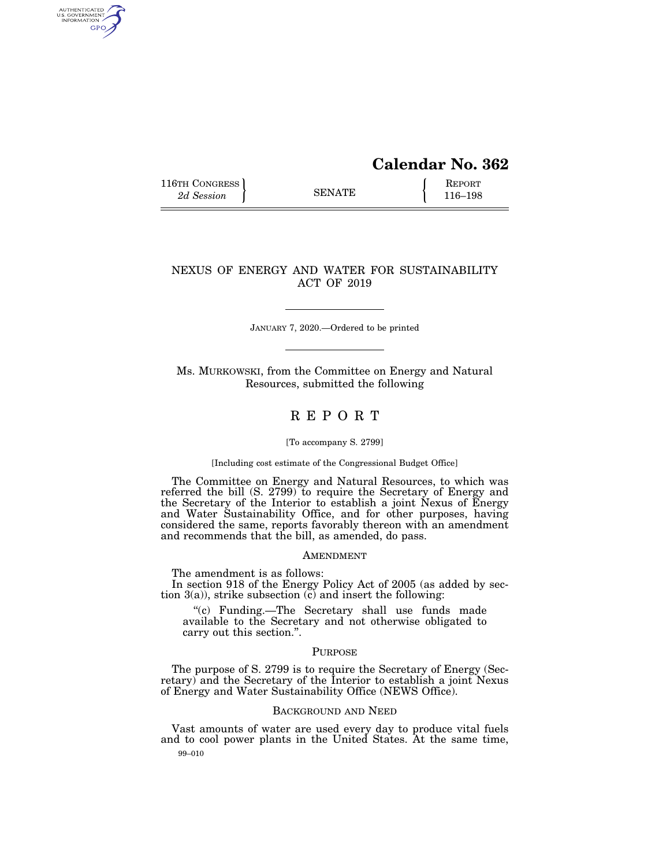# **Calendar No. 362**

116TH CONGRESS **REPORT** 2d Session **116–198** 

AUTHENTICATED<br>U.S. GOVERNMENT<br>INFORMATION GPO

## NEXUS OF ENERGY AND WATER FOR SUSTAINABILITY ACT OF 2019

JANUARY 7, 2020.—Ordered to be printed

Ms. MURKOWSKI, from the Committee on Energy and Natural Resources, submitted the following

## R E P O R T

#### [To accompany S. 2799]

[Including cost estimate of the Congressional Budget Office]

The Committee on Energy and Natural Resources, to which was referred the bill (S. 2799) to require the Secretary of Energy and the Secretary of the Interior to establish a joint Nexus of Energy and Water Sustainability Office, and for other purposes, having considered the same, reports favorably thereon with an amendment and recommends that the bill, as amended, do pass.

## AMENDMENT

The amendment is as follows:

In section 918 of the Energy Policy Act of 2005 (as added by section  $3(a)$ , strike subsection  $\tilde{c}$  and insert the following:

''(c) Funding.—The Secretary shall use funds made available to the Secretary and not otherwise obligated to carry out this section.''.

## PURPOSE

The purpose of S. 2799 is to require the Secretary of Energy (Secretary) and the Secretary of the Interior to establish a joint Nexus of Energy and Water Sustainability Office (NEWS Office).

## BACKGROUND AND NEED

99–010 Vast amounts of water are used every day to produce vital fuels and to cool power plants in the United States. At the same time,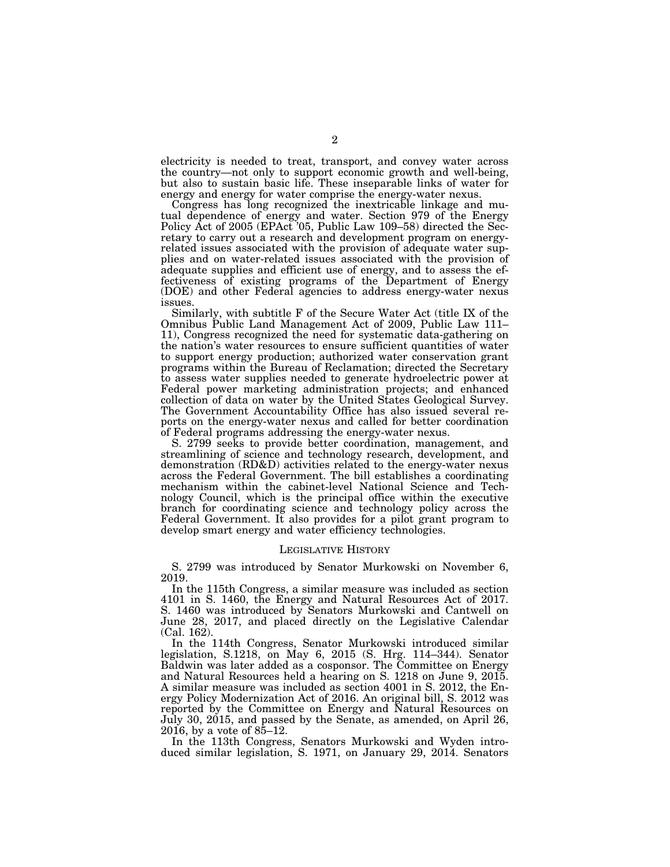electricity is needed to treat, transport, and convey water across the country—not only to support economic growth and well-being, but also to sustain basic life. These inseparable links of water for energy and energy for water comprise the energy-water nexus.

Congress has long recognized the inextricable linkage and mutual dependence of energy and water. Section 979 of the Energy Policy Act of 2005 (EPAct '05, Public Law 109–58) directed the Secretary to carry out a research and development program on energyrelated issues associated with the provision of adequate water supplies and on water-related issues associated with the provision of adequate supplies and efficient use of energy, and to assess the effectiveness of existing programs of the Department of Energy (DOE) and other Federal agencies to address energy-water nexus issues.

Similarly, with subtitle F of the Secure Water Act (title IX of the Omnibus Public Land Management Act of 2009, Public Law 111– 11), Congress recognized the need for systematic data-gathering on the nation's water resources to ensure sufficient quantities of water to support energy production; authorized water conservation grant programs within the Bureau of Reclamation; directed the Secretary to assess water supplies needed to generate hydroelectric power at Federal power marketing administration projects; and enhanced collection of data on water by the United States Geological Survey. The Government Accountability Office has also issued several reports on the energy-water nexus and called for better coordination of Federal programs addressing the energy-water nexus.

S. 2799 seeks to provide better coordination, management, and streamlining of science and technology research, development, and demonstration (RD&D) activities related to the energy-water nexus across the Federal Government. The bill establishes a coordinating mechanism within the cabinet-level National Science and Technology Council, which is the principal office within the executive branch for coordinating science and technology policy across the Federal Government. It also provides for a pilot grant program to develop smart energy and water efficiency technologies.

### LEGISLATIVE HISTORY

S. 2799 was introduced by Senator Murkowski on November 6, 2019.

In the 115th Congress, a similar measure was included as section 4101 in S. 1460, the Energy and Natural Resources Act of 2017. S. 1460 was introduced by Senators Murkowski and Cantwell on June 28, 2017, and placed directly on the Legislative Calendar (Cal. 162).

In the 114th Congress, Senator Murkowski introduced similar legislation, S.1218, on May 6, 2015 (S. Hrg. 114–344). Senator Baldwin was later added as a cosponsor. The Committee on Energy and Natural Resources held a hearing on S. 1218 on June 9, 2015. A similar measure was included as section 4001 in S. 2012, the Energy Policy Modernization Act of 2016. An original bill, S. 2012 was reported by the Committee on Energy and Natural Resources on July 30, 2015, and passed by the Senate, as amended, on April 26, 2016, by a vote of  $85-12$ .

In the 113th Congress, Senators Murkowski and Wyden introduced similar legislation, S. 1971, on January 29, 2014. Senators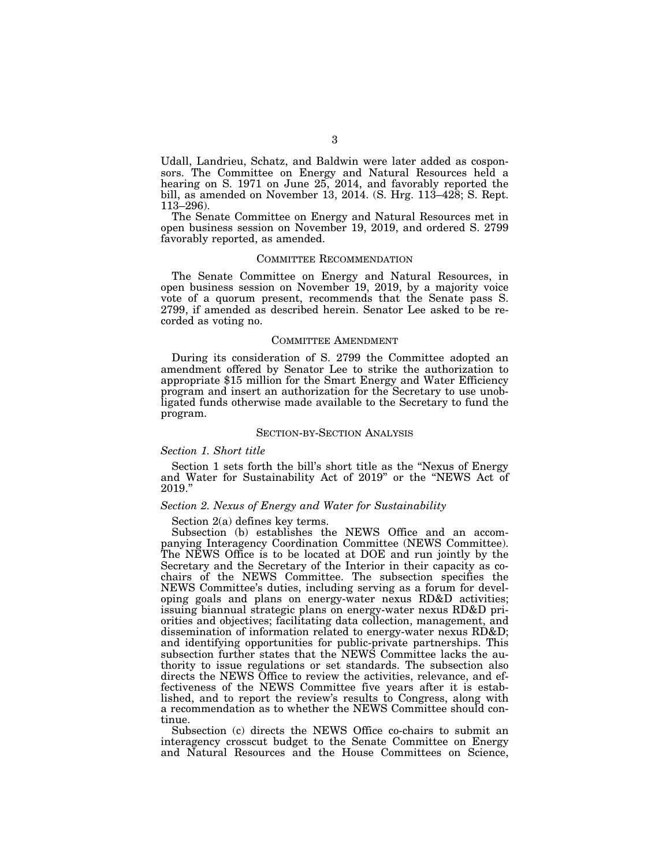Udall, Landrieu, Schatz, and Baldwin were later added as cosponsors. The Committee on Energy and Natural Resources held a hearing on S. 1971 on June 25, 2014, and favorably reported the bill, as amended on November 13, 2014. (S. Hrg. 113–428; S. Rept. 113–296).

The Senate Committee on Energy and Natural Resources met in open business session on November 19, 2019, and ordered S. 2799 favorably reported, as amended.

### COMMITTEE RECOMMENDATION

The Senate Committee on Energy and Natural Resources, in open business session on November 19, 2019, by a majority voice vote of a quorum present, recommends that the Senate pass S. 2799, if amended as described herein. Senator Lee asked to be recorded as voting no.

#### COMMITTEE AMENDMENT

During its consideration of S. 2799 the Committee adopted an amendment offered by Senator Lee to strike the authorization to appropriate \$15 million for the Smart Energy and Water Efficiency program and insert an authorization for the Secretary to use unobligated funds otherwise made available to the Secretary to fund the program.

## SECTION-BY-SECTION ANALYSIS

## *Section 1. Short title*

Section 1 sets forth the bill's short title as the ''Nexus of Energy and Water for Sustainability Act of 2019" or the "NEWS Act of 2019.''

## *Section 2. Nexus of Energy and Water for Sustainability*

Section 2(a) defines key terms.

Subsection (b) establishes the NEWS Office and an accompanying Interagency Coordination Committee (NEWS Committee). The NEWS Office is to be located at DOE and run jointly by the Secretary and the Secretary of the Interior in their capacity as cochairs of the NEWS Committee. The subsection specifies the NEWS Committee's duties, including serving as a forum for developing goals and plans on energy-water nexus RD&D activities; issuing biannual strategic plans on energy-water nexus RD&D priorities and objectives; facilitating data collection, management, and dissemination of information related to energy-water nexus RD&D; and identifying opportunities for public-private partnerships. This subsection further states that the NEWS Committee lacks the authority to issue regulations or set standards. The subsection also directs the NEWS Office to review the activities, relevance, and effectiveness of the NEWS Committee five years after it is established, and to report the review's results to Congress, along with a recommendation as to whether the NEWS Committee should continue.

Subsection (c) directs the NEWS Office co-chairs to submit an interagency crosscut budget to the Senate Committee on Energy and Natural Resources and the House Committees on Science,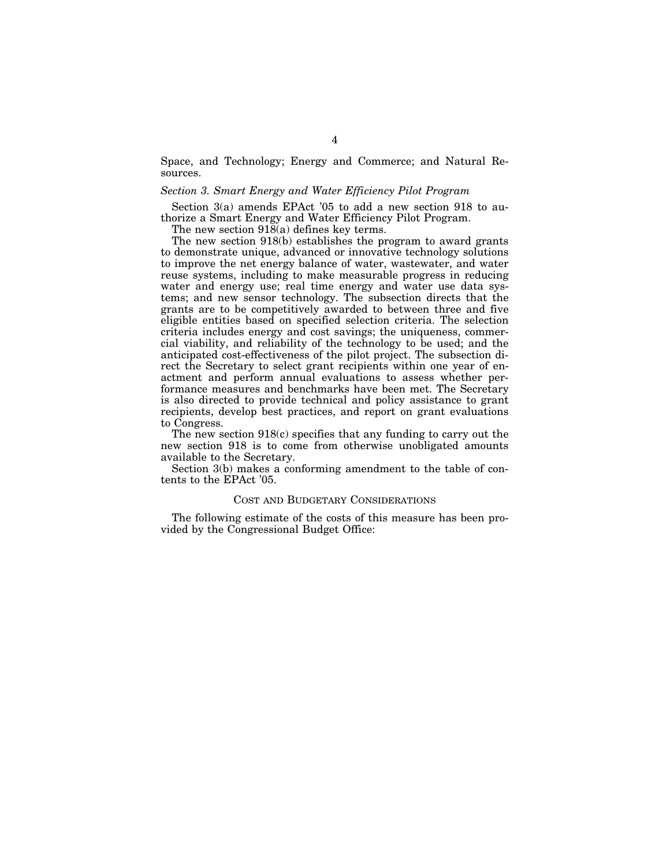Space, and Technology; Energy and Commerce; and Natural Resources.

## *Section 3. Smart Energy and Water Efficiency Pilot Program*

Section 3(a) amends EPAct '05 to add a new section 918 to authorize a Smart Energy and Water Efficiency Pilot Program.

The new section  $91\bar{8}$ (a) defines key terms.

The new section 918(b) establishes the program to award grants to demonstrate unique, advanced or innovative technology solutions to improve the net energy balance of water, wastewater, and water reuse systems, including to make measurable progress in reducing water and energy use; real time energy and water use data systems; and new sensor technology. The subsection directs that the grants are to be competitively awarded to between three and five eligible entities based on specified selection criteria. The selection criteria includes energy and cost savings; the uniqueness, commercial viability, and reliability of the technology to be used; and the anticipated cost-effectiveness of the pilot project. The subsection direct the Secretary to select grant recipients within one year of enactment and perform annual evaluations to assess whether performance measures and benchmarks have been met. The Secretary is also directed to provide technical and policy assistance to grant recipients, develop best practices, and report on grant evaluations to Congress.

The new section 918(c) specifies that any funding to carry out the new section 918 is to come from otherwise unobligated amounts available to the Secretary.

Section 3(b) makes a conforming amendment to the table of contents to the EPAct '05.

## COST AND BUDGETARY CONSIDERATIONS

The following estimate of the costs of this measure has been provided by the Congressional Budget Office: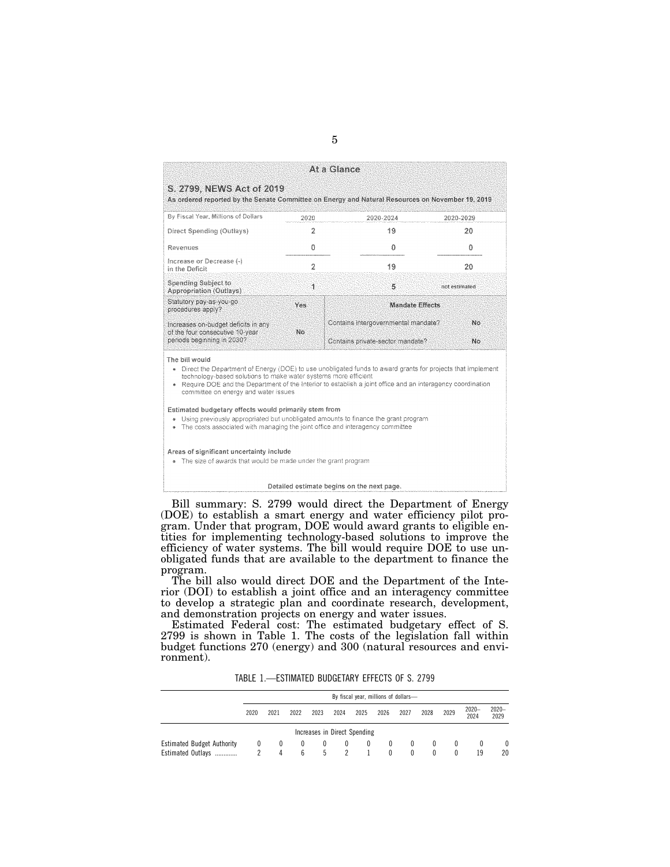|                                                                                                                                                                                                                                                                                                                                                           |                        | At a Glance                         |               |  |  |  |  |
|-----------------------------------------------------------------------------------------------------------------------------------------------------------------------------------------------------------------------------------------------------------------------------------------------------------------------------------------------------------|------------------------|-------------------------------------|---------------|--|--|--|--|
| S. 2799, NEWS Act of 2019<br>As ordered reported by the Senate Committee on Energy and Natural Resources on November 19, 2019                                                                                                                                                                                                                             |                        |                                     |               |  |  |  |  |
| By Fiscal Year, Millions of Dollars                                                                                                                                                                                                                                                                                                                       | 2020                   | 2020-2024                           | 2020-2029     |  |  |  |  |
| Direct Spending (Outlays)                                                                                                                                                                                                                                                                                                                                 | 2                      | 19                                  | 20            |  |  |  |  |
| Revenues                                                                                                                                                                                                                                                                                                                                                  | 0                      | 0                                   | o             |  |  |  |  |
| Increase or Decrease (-)<br>in the Deficit                                                                                                                                                                                                                                                                                                                | $\overline{2}$         | 19                                  | 20            |  |  |  |  |
| <b>Spending Subject to</b><br><b>Appropriation (Outlays)</b>                                                                                                                                                                                                                                                                                              | 1                      | 5                                   | not estimated |  |  |  |  |
| Statutory pay-as-you-go<br>procedures apply?                                                                                                                                                                                                                                                                                                              | Yes<br>Mandate Effects |                                     |               |  |  |  |  |
| Increases on-budget deficits in any<br>of the four consecutive 10-year                                                                                                                                                                                                                                                                                    | No.                    | Contains intergovernmental mandate? | Nο            |  |  |  |  |
| periods beginning in 2030?                                                                                                                                                                                                                                                                                                                                |                        | Contains private-sector mandate?    | No            |  |  |  |  |
| The bill would<br>• Direct the Department of Energy (DOE) to use unobligated funds to award grants for projects that implement<br>technology-based solutions to make water systems more efficient<br>• Require DOE and the Department of the Interior to establish a joint office and an interagency coordination<br>committee on energy and water issues |                        |                                     |               |  |  |  |  |
| Estimated budgetary effects would primarily stem from<br>. Using previously appropriated but unobligated amounts to finance the grant program<br>• The costs associated with managing the joint office and interagency committee                                                                                                                          |                        |                                     |               |  |  |  |  |
| Areas of significant uncertainty include<br>. The size of awards that would be made under the grant program                                                                                                                                                                                                                                               |                        |                                     |               |  |  |  |  |

Detailed estimate begins on the next page.

Bill summary: S. 2799 would direct the Department of Energy (DOE) to establish a smart energy and water efficiency pilot program. Under that program, DOE would award grants to eligible entities for implementing technology-based solutions to improve the efficiency of water systems. The bill would require DOE to use unobligated funds that are available to the department to finance the program.

The bill also would direct DOE and the Department of the Interior (DOI) to establish a joint office and an interagency committee to develop a strategic plan and coordinate research, development, and demonstration projects on energy and water issues.

Estimated Federal cost: The estimated budgetary effect of S. 2799 is shown in Table 1. The costs of the legislation fall within budget functions 270 (energy) and 300 (natural resources and environment).

TABLE 1.—ESTIMATED BUDGETARY EFFECTS OF S. 2799

|                                                        | By fiscal year, millions of dollars- |                         |             |               |          |                              |                      |             |          |      |                  |                  |
|--------------------------------------------------------|--------------------------------------|-------------------------|-------------|---------------|----------|------------------------------|----------------------|-------------|----------|------|------------------|------------------|
|                                                        | 2020                                 | 2021                    | 2022        | 2023          | 2024     | 2025                         | 2026                 | 2027        | 2028     | 2029 | $2020 -$<br>2024 | $2020 -$<br>2029 |
|                                                        |                                      |                         |             |               |          | Increases in Direct Spending |                      |             |          |      |                  |                  |
| <b>Estimated Budget Authority</b><br>Estimated Outlays | 0                                    | $\left( 0 \right)$<br>Δ | $^{0}$<br>b | $\bf{0}$<br>5 | $\left($ | $\theta$                     | $\bf{0}$<br>$\Omega$ | $^{0}$<br>0 | $\theta$ |      | 19               | 0<br>20          |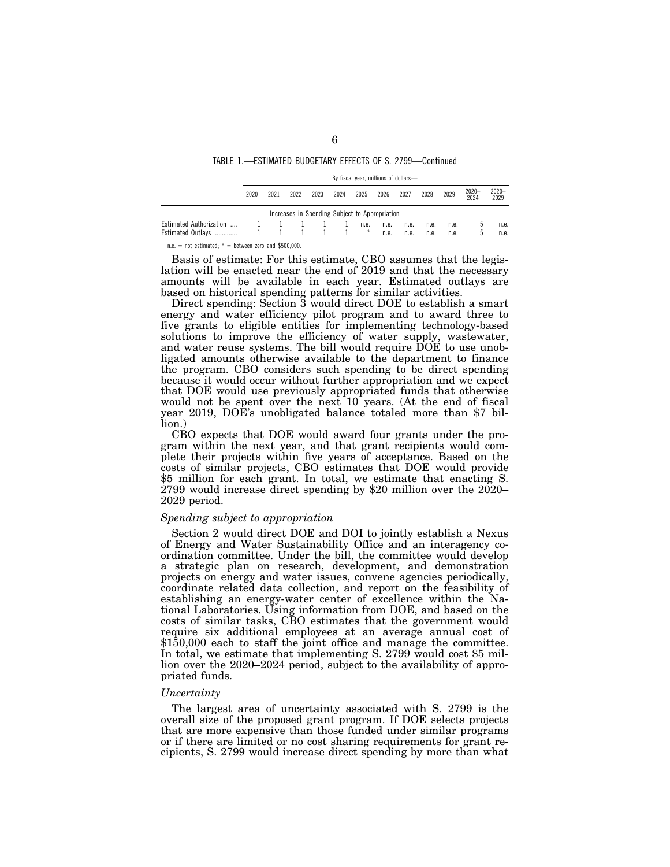TABLE 1.—ESTIMATED BUDGETARY EFFECTS OF S. 2799—Continued

|                                                     | By fiscal year, millions of dollars- |      |      |      |      |                  |              |              |              |              |                  |                  |
|-----------------------------------------------------|--------------------------------------|------|------|------|------|------------------|--------------|--------------|--------------|--------------|------------------|------------------|
|                                                     | 2020                                 | 2021 | 2022 | 2023 | 2024 | 2025             | 2026         | 2027         | 2028         | 2029         | $2020 -$<br>2024 | $2020 -$<br>2029 |
| Increases in Spending Subject to Appropriation      |                                      |      |      |      |      |                  |              |              |              |              |                  |                  |
| <b>Estimated Authorization</b><br>Estimated Outlays |                                      |      |      |      |      | n.e.<br>$^\star$ | n.e.<br>n.e. | n.e.<br>n.e. | n.e.<br>n.e. | n.e.<br>n.e. | .5               | n.e.<br>n.e.     |

n.e. = not estimated;  $*$  = between zero and \$500,000.

Basis of estimate: For this estimate, CBO assumes that the legislation will be enacted near the end of 2019 and that the necessary amounts will be available in each year. Estimated outlays are based on historical spending patterns for similar activities.

Direct spending: Section 3 would direct DOE to establish a smart energy and water efficiency pilot program and to award three to five grants to eligible entities for implementing technology-based solutions to improve the efficiency of water supply, wastewater, and water reuse systems. The bill would require DOE to use unobligated amounts otherwise available to the department to finance the program. CBO considers such spending to be direct spending because it would occur without further appropriation and we expect that DOE would use previously appropriated funds that otherwise would not be spent over the next 10 years. (At the end of fiscal year 2019, DOE's unobligated balance totaled more than \$7 billion.)

CBO expects that DOE would award four grants under the program within the next year, and that grant recipients would complete their projects within five years of acceptance. Based on the costs of similar projects, CBO estimates that DOE would provide \$5 million for each grant. In total, we estimate that enacting S. 2799 would increase direct spending by \$20 million over the 2020– 2029 period.

## *Spending subject to appropriation*

Section 2 would direct DOE and DOI to jointly establish a Nexus of Energy and Water Sustainability Office and an interagency coordination committee. Under the bill, the committee would develop a strategic plan on research, development, and demonstration projects on energy and water issues, convene agencies periodically, coordinate related data collection, and report on the feasibility of establishing an energy-water center of excellence within the National Laboratories. Using information from DOE, and based on the costs of similar tasks, CBO estimates that the government would require six additional employees at an average annual cost of \$150,000 each to staff the joint office and manage the committee. In total, we estimate that implementing S. 2799 would cost \$5 million over the 2020–2024 period, subject to the availability of appropriated funds.

## *Uncertainty*

The largest area of uncertainty associated with S. 2799 is the overall size of the proposed grant program. If DOE selects projects that are more expensive than those funded under similar programs or if there are limited or no cost sharing requirements for grant recipients, S. 2799 would increase direct spending by more than what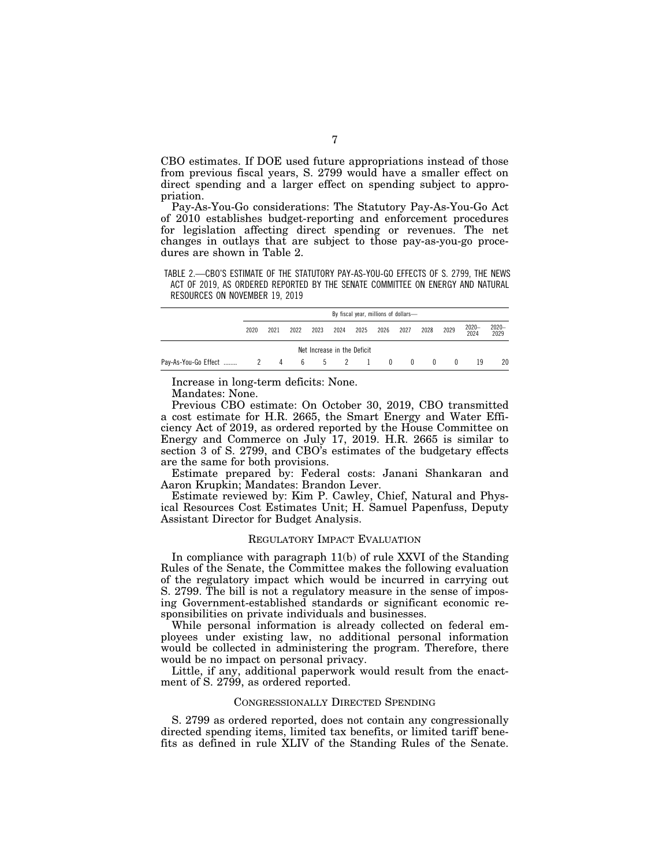CBO estimates. If DOE used future appropriations instead of those from previous fiscal years, S. 2799 would have a smaller effect on direct spending and a larger effect on spending subject to appropriation.

Pay-As-You-Go considerations: The Statutory Pay-As-You-Go Act of 2010 establishes budget-reporting and enforcement procedures for legislation affecting direct spending or revenues. The net changes in outlays that are subject to those pay-as-you-go procedures are shown in Table 2.

TABLE 2.—CBO'S ESTIMATE OF THE STATUTORY PAY-AS-YOU-GO EFFECTS OF S. 2799, THE NEWS ACT OF 2019, AS ORDERED REPORTED BY THE SENATE COMMITTEE ON ENERGY AND NATURAL RESOURCES ON NOVEMBER 19, 2019

| By fiscal year, millions of dollars- |      |                 |      |                             |      |              |              |                |                  |               |               |
|--------------------------------------|------|-----------------|------|-----------------------------|------|--------------|--------------|----------------|------------------|---------------|---------------|
| 2020                                 | 2021 | 2022            | 2023 | 2024                        | 2025 | 2026         | 2027         | 2028           | 2029             | 2020-<br>2024 | 2020-<br>2029 |
|                                      |      |                 |      | Net Increase in the Deficit |      |              |              |                |                  |               |               |
|                                      |      | $6\overline{6}$ |      | 5 2 1                       |      | $\mathbf{0}$ | $\mathbf{0}$ | $\overline{0}$ | $\left( \right)$ | 19            | 20            |

Increase in long-term deficits: None.

Mandates: None.

Previous CBO estimate: On October 30, 2019, CBO transmitted a cost estimate for H.R. 2665, the Smart Energy and Water Efficiency Act of 2019, as ordered reported by the House Committee on Energy and Commerce on July 17, 2019. H.R. 2665 is similar to section 3 of S. 2799, and CBO's estimates of the budgetary effects are the same for both provisions.

Estimate prepared by: Federal costs: Janani Shankaran and Aaron Krupkin; Mandates: Brandon Lever.

Estimate reviewed by: Kim P. Cawley, Chief, Natural and Physical Resources Cost Estimates Unit; H. Samuel Papenfuss, Deputy Assistant Director for Budget Analysis.

## REGULATORY IMPACT EVALUATION

In compliance with paragraph 11(b) of rule XXVI of the Standing Rules of the Senate, the Committee makes the following evaluation of the regulatory impact which would be incurred in carrying out S. 2799. The bill is not a regulatory measure in the sense of imposing Government-established standards or significant economic responsibilities on private individuals and businesses.

While personal information is already collected on federal employees under existing law, no additional personal information would be collected in administering the program. Therefore, there would be no impact on personal privacy.

Little, if any, additional paperwork would result from the enactment of S. 2799, as ordered reported.

## CONGRESSIONALLY DIRECTED SPENDING

S. 2799 as ordered reported, does not contain any congressionally directed spending items, limited tax benefits, or limited tariff benefits as defined in rule XLIV of the Standing Rules of the Senate.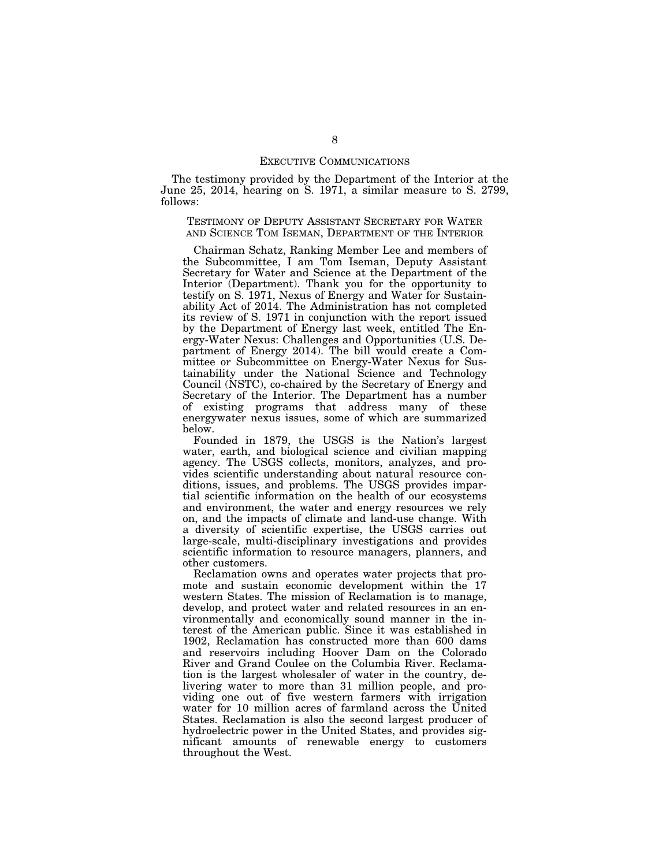### EXECUTIVE COMMUNICATIONS

The testimony provided by the Department of the Interior at the June 25, 2014, hearing on S. 1971, a similar measure to S. 2799, follows:

TESTIMONY OF DEPUTY ASSISTANT SECRETARY FOR WATER AND SCIENCE TOM ISEMAN, DEPARTMENT OF THE INTERIOR

Chairman Schatz, Ranking Member Lee and members of the Subcommittee, I am Tom Iseman, Deputy Assistant Secretary for Water and Science at the Department of the Interior (Department). Thank you for the opportunity to testify on S. 1971, Nexus of Energy and Water for Sustainability Act of 2014. The Administration has not completed its review of S. 1971 in conjunction with the report issued by the Department of Energy last week, entitled The Energy-Water Nexus: Challenges and Opportunities (U.S. Department of Energy 2014). The bill would create a Committee or Subcommittee on Energy-Water Nexus for Sustainability under the National Science and Technology Council (NSTC), co-chaired by the Secretary of Energy and Secretary of the Interior. The Department has a number of existing programs that address many of these energywater nexus issues, some of which are summarized below.

Founded in 1879, the USGS is the Nation's largest water, earth, and biological science and civilian mapping agency. The USGS collects, monitors, analyzes, and provides scientific understanding about natural resource conditions, issues, and problems. The USGS provides impartial scientific information on the health of our ecosystems and environment, the water and energy resources we rely on, and the impacts of climate and land-use change. With a diversity of scientific expertise, the USGS carries out large-scale, multi-disciplinary investigations and provides scientific information to resource managers, planners, and other customers.

Reclamation owns and operates water projects that promote and sustain economic development within the 17 western States. The mission of Reclamation is to manage, develop, and protect water and related resources in an environmentally and economically sound manner in the interest of the American public. Since it was established in 1902, Reclamation has constructed more than 600 dams and reservoirs including Hoover Dam on the Colorado River and Grand Coulee on the Columbia River. Reclamation is the largest wholesaler of water in the country, delivering water to more than 31 million people, and providing one out of five western farmers with irrigation water for 10 million acres of farmland across the United States. Reclamation is also the second largest producer of hydroelectric power in the United States, and provides significant amounts of renewable energy to customers throughout the West.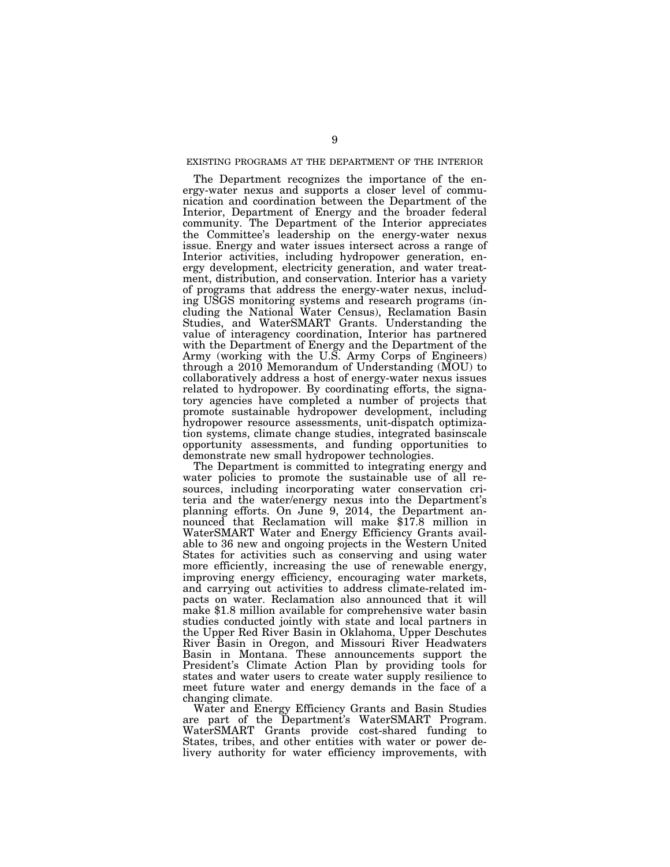## EXISTING PROGRAMS AT THE DEPARTMENT OF THE INTERIOR

The Department recognizes the importance of the energy-water nexus and supports a closer level of communication and coordination between the Department of the Interior, Department of Energy and the broader federal community. The Department of the Interior appreciates the Committee's leadership on the energy-water nexus issue. Energy and water issues intersect across a range of Interior activities, including hydropower generation, energy development, electricity generation, and water treatment, distribution, and conservation. Interior has a variety of programs that address the energy-water nexus, including USGS monitoring systems and research programs (including the National Water Census), Reclamation Basin Studies, and WaterSMART Grants. Understanding the value of interagency coordination, Interior has partnered with the Department of Energy and the Department of the Army (working with the U.S. Army Corps of Engineers) through a 2010 Memorandum of Understanding (MOU) to collaboratively address a host of energy-water nexus issues related to hydropower. By coordinating efforts, the signatory agencies have completed a number of projects that promote sustainable hydropower development, including hydropower resource assessments, unit-dispatch optimization systems, climate change studies, integrated basinscale opportunity assessments, and funding opportunities to demonstrate new small hydropower technologies.

The Department is committed to integrating energy and water policies to promote the sustainable use of all resources, including incorporating water conservation criteria and the water/energy nexus into the Department's planning efforts. On June 9, 2014, the Department announced that Reclamation will make \$17.8 million in WaterSMART Water and Energy Efficiency Grants available to 36 new and ongoing projects in the Western United States for activities such as conserving and using water more efficiently, increasing the use of renewable energy, improving energy efficiency, encouraging water markets, and carrying out activities to address climate-related impacts on water. Reclamation also announced that it will make \$1.8 million available for comprehensive water basin studies conducted jointly with state and local partners in the Upper Red River Basin in Oklahoma, Upper Deschutes River Basin in Oregon, and Missouri River Headwaters Basin in Montana. These announcements support the President's Climate Action Plan by providing tools for states and water users to create water supply resilience to meet future water and energy demands in the face of a changing climate.

Water and Energy Efficiency Grants and Basin Studies are part of the Department's WaterSMART Program. WaterSMART Grants provide cost-shared funding to States, tribes, and other entities with water or power delivery authority for water efficiency improvements, with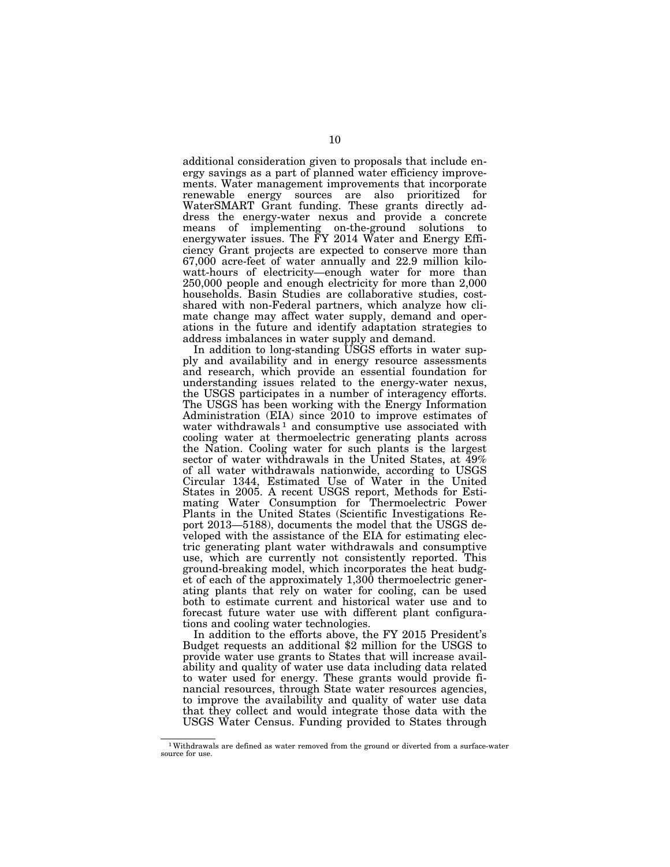additional consideration given to proposals that include energy savings as a part of planned water efficiency improvements. Water management improvements that incorporate renewable energy sources are also prioritized for WaterSMART Grant funding. These grants directly address the energy-water nexus and provide a concrete means of implementing on-the-ground solutions to energywater issues. The FY 2014 Water and Energy Efficiency Grant projects are expected to conserve more than 67,000 acre-feet of water annually and 22.9 million kilowatt-hours of electricity—enough water for more than 250,000 people and enough electricity for more than 2,000 households. Basin Studies are collaborative studies, costshared with non-Federal partners, which analyze how climate change may affect water supply, demand and operations in the future and identify adaptation strategies to address imbalances in water supply and demand.

In addition to long-standing USGS efforts in water supply and availability and in energy resource assessments and research, which provide an essential foundation for understanding issues related to the energy-water nexus, the USGS participates in a number of interagency efforts. The USGS has been working with the Energy Information Administration (EIA) since 2010 to improve estimates of water withdrawals<sup>1</sup> and consumptive use associated with cooling water at thermoelectric generating plants across the Nation. Cooling water for such plants is the largest sector of water withdrawals in the United States, at 49% of all water withdrawals nationwide, according to USGS Circular 1344, Estimated Use of Water in the United States in 2005. A recent USGS report, Methods for Estimating Water Consumption for Thermoelectric Power Plants in the United States (Scientific Investigations Report 2013—5188), documents the model that the USGS developed with the assistance of the EIA for estimating electric generating plant water withdrawals and consumptive use, which are currently not consistently reported. This ground-breaking model, which incorporates the heat budget of each of the approximately 1,300 thermoelectric generating plants that rely on water for cooling, can be used both to estimate current and historical water use and to forecast future water use with different plant configurations and cooling water technologies.

In addition to the efforts above, the FY 2015 President's Budget requests an additional \$2 million for the USGS to provide water use grants to States that will increase availability and quality of water use data including data related to water used for energy. These grants would provide financial resources, through State water resources agencies, to improve the availability and quality of water use data that they collect and would integrate those data with the USGS Water Census. Funding provided to States through

<sup>1</sup>Withdrawals are defined as water removed from the ground or diverted from a surface-water source for use.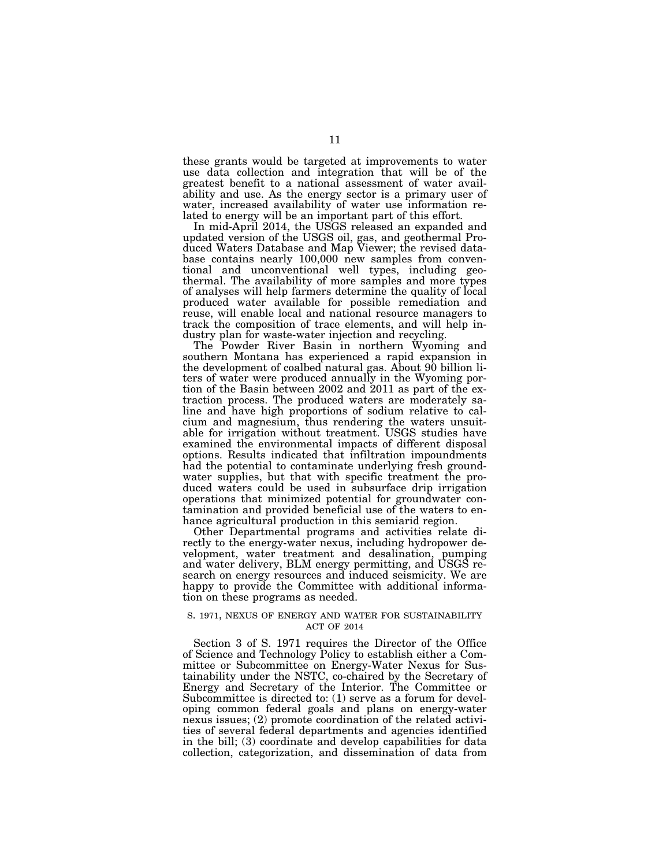these grants would be targeted at improvements to water use data collection and integration that will be of the greatest benefit to a national assessment of water availability and use. As the energy sector is a primary user of water, increased availability of water use information related to energy will be an important part of this effort.

In mid-April 2014, the USGS released an expanded and updated version of the USGS oil, gas, and geothermal Produced Waters Database and Map Viewer; the revised database contains nearly 100,000 new samples from conventional and unconventional well types, including geothermal. The availability of more samples and more types of analyses will help farmers determine the quality of local produced water available for possible remediation and reuse, will enable local and national resource managers to track the composition of trace elements, and will help industry plan for waste-water injection and recycling.

The Powder River Basin in northern Wyoming and southern Montana has experienced a rapid expansion in the development of coalbed natural gas. About 90 billion liters of water were produced annually in the Wyoming portion of the Basin between 2002 and 2011 as part of the extraction process. The produced waters are moderately saline and have high proportions of sodium relative to calcium and magnesium, thus rendering the waters unsuitable for irrigation without treatment. USGS studies have examined the environmental impacts of different disposal options. Results indicated that infiltration impoundments had the potential to contaminate underlying fresh groundwater supplies, but that with specific treatment the produced waters could be used in subsurface drip irrigation operations that minimized potential for groundwater contamination and provided beneficial use of the waters to enhance agricultural production in this semiarid region.

Other Departmental programs and activities relate directly to the energy-water nexus, including hydropower development, water treatment and desalination, pumping and water delivery, BLM energy permitting, and USGS research on energy resources and induced seismicity. We are happy to provide the Committee with additional information on these programs as needed.

## S. 1971, NEXUS OF ENERGY AND WATER FOR SUSTAINABILITY ACT OF 2014

Section 3 of S. 1971 requires the Director of the Office of Science and Technology Policy to establish either a Committee or Subcommittee on Energy-Water Nexus for Sustainability under the NSTC, co-chaired by the Secretary of Energy and Secretary of the Interior. The Committee or Subcommittee is directed to: (1) serve as a forum for developing common federal goals and plans on energy-water nexus issues; (2) promote coordination of the related activities of several federal departments and agencies identified in the bill; (3) coordinate and develop capabilities for data collection, categorization, and dissemination of data from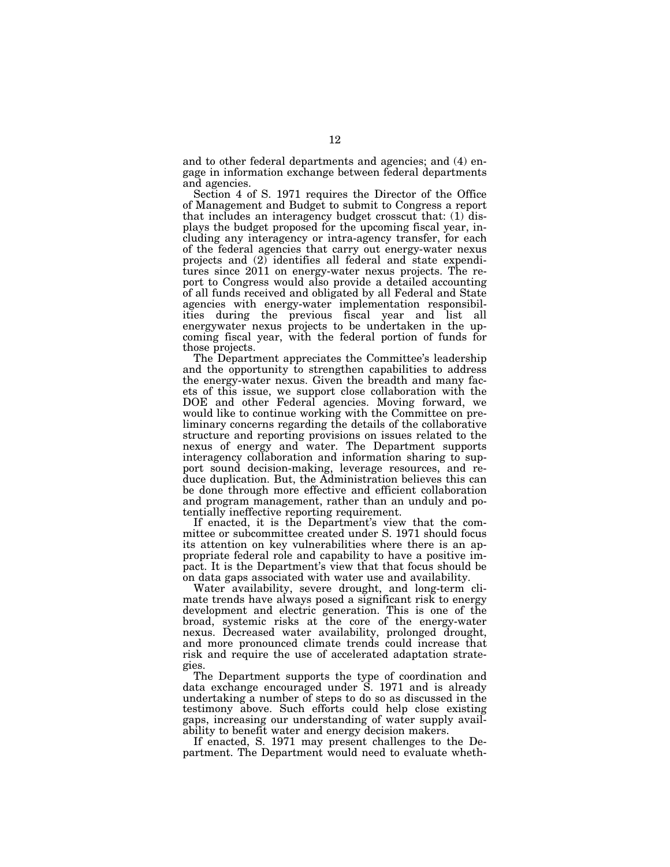and to other federal departments and agencies; and (4) engage in information exchange between federal departments and agencies.

Section 4 of S. 1971 requires the Director of the Office of Management and Budget to submit to Congress a report that includes an interagency budget crosscut that: (1) displays the budget proposed for the upcoming fiscal year, including any interagency or intra-agency transfer, for each of the federal agencies that carry out energy-water nexus projects and (2) identifies all federal and state expenditures since 2011 on energy-water nexus projects. The report to Congress would also provide a detailed accounting of all funds received and obligated by all Federal and State agencies with energy-water implementation responsibilities during the previous fiscal year and list all energywater nexus projects to be undertaken in the upcoming fiscal year, with the federal portion of funds for those projects.

The Department appreciates the Committee's leadership and the opportunity to strengthen capabilities to address the energy-water nexus. Given the breadth and many facets of this issue, we support close collaboration with the DOE and other Federal agencies. Moving forward, we would like to continue working with the Committee on preliminary concerns regarding the details of the collaborative structure and reporting provisions on issues related to the nexus of energy and water. The Department supports interagency collaboration and information sharing to support sound decision-making, leverage resources, and reduce duplication. But, the Administration believes this can be done through more effective and efficient collaboration and program management, rather than an unduly and potentially ineffective reporting requirement.

If enacted, it is the Department's view that the committee or subcommittee created under S. 1971 should focus its attention on key vulnerabilities where there is an appropriate federal role and capability to have a positive impact. It is the Department's view that that focus should be on data gaps associated with water use and availability.

Water availability, severe drought, and long-term climate trends have always posed a significant risk to energy development and electric generation. This is one of the broad, systemic risks at the core of the energy-water nexus. Decreased water availability, prolonged drought, and more pronounced climate trends could increase that risk and require the use of accelerated adaptation strategies.

The Department supports the type of coordination and data exchange encouraged under S. 1971 and is already undertaking a number of steps to do so as discussed in the testimony above. Such efforts could help close existing gaps, increasing our understanding of water supply availability to benefit water and energy decision makers.

If enacted, S. 1971 may present challenges to the Department. The Department would need to evaluate wheth-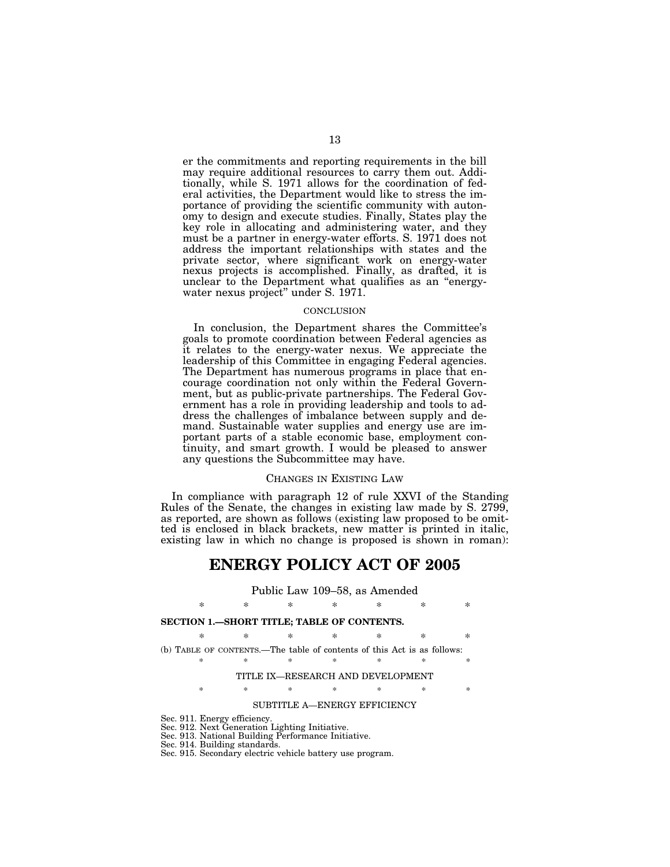er the commitments and reporting requirements in the bill may require additional resources to carry them out. Additionally, while S. 1971 allows for the coordination of federal activities, the Department would like to stress the importance of providing the scientific community with autonomy to design and execute studies. Finally, States play the key role in allocating and administering water, and they must be a partner in energy-water efforts. S. 1971 does not address the important relationships with states and the private sector, where significant work on energy-water nexus projects is accomplished. Finally, as drafted, it is unclear to the Department what qualifies as an ''energywater nexus project'' under S. 1971.

#### **CONCLUSION**

In conclusion, the Department shares the Committee's goals to promote coordination between Federal agencies as it relates to the energy-water nexus. We appreciate the leadership of this Committee in engaging Federal agencies. The Department has numerous programs in place that encourage coordination not only within the Federal Government, but as public-private partnerships. The Federal Government has a role in providing leadership and tools to address the challenges of imbalance between supply and demand. Sustainable water supplies and energy use are important parts of a stable economic base, employment continuity, and smart growth. I would be pleased to answer any questions the Subcommittee may have.

#### CHANGES IN EXISTING LAW

In compliance with paragraph 12 of rule XXVI of the Standing Rules of the Senate, the changes in existing law made by S. 2799, as reported, are shown as follows (existing law proposed to be omitted is enclosed in black brackets, new matter is printed in italic, existing law in which no change is proposed is shown in roman):

# **ENERGY POLICY ACT OF 2005**

## Public Law 109–58, as Amended

\* \* \* \* \* \* \*

## **SECTION 1.—SHORT TITLE; TABLE OF CONTENTS.**

\* \* \* \* \* \* \* (b) TABLE OF CONTENTS.—The table of contents of this Act is as follows:

\* \* \* \* \* \* \*

#### TITLE IX—RESEARCH AND DEVELOPMENT

\* \* \* \* \* \* \*

## SUBTITLE A—ENERGY EFFICIENCY

Sec. 911. Energy efficiency. Sec. 912. Next Generation Lighting Initiative.

Sec. 913. National Building Performance Initiative.

Sec. 914. Building standards.

Sec. 915. Secondary electric vehicle battery use program.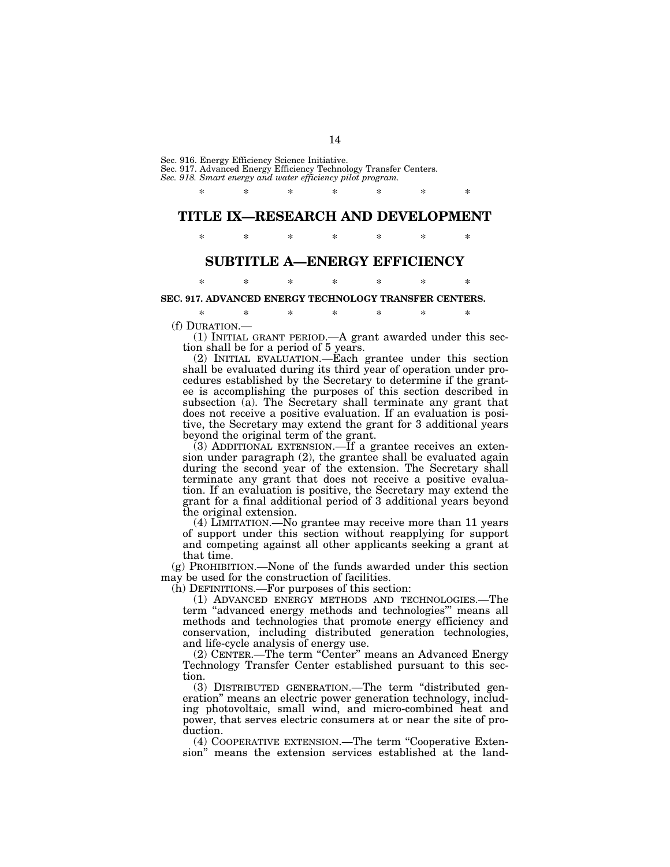Sec. 916. Energy Efficiency Science Initiative.

Sec. 917. Advanced Energy Efficiency Technology Transfer Centers. *Sec. 918. Smart energy and water efficiency pilot program.* 

\* \* \* \* \* \* \* **TITLE IX—RESEARCH AND DEVELOPMENT** 

\* \* \* \* \* \* \*

# **SUBTITLE A—ENERGY EFFICIENCY**  \* \* \* \* \* \* \*

**SEC. 917. ADVANCED ENERGY TECHNOLOGY TRANSFER CENTERS.** 

\* \* \* \* \* \* \*

(f) DURATION.—<br>(1) INITIAL GRANT PERIOD.—A grant awarded under this section shall be for a period of 5 years.

(2) INITIAL EVALUATION.—Each grantee under this section shall be evaluated during its third year of operation under procedures established by the Secretary to determine if the grantee is accomplishing the purposes of this section described in subsection (a). The Secretary shall terminate any grant that does not receive a positive evaluation. If an evaluation is positive, the Secretary may extend the grant for 3 additional years beyond the original term of the grant.

(3) ADDITIONAL EXTENSION.—If a grantee receives an extension under paragraph (2), the grantee shall be evaluated again during the second year of the extension. The Secretary shall terminate any grant that does not receive a positive evaluation. If an evaluation is positive, the Secretary may extend the grant for a final additional period of 3 additional years beyond the original extension.

(4) LIMITATION.—No grantee may receive more than 11 years of support under this section without reapplying for support and competing against all other applicants seeking a grant at that time.

(g) PROHIBITION.—None of the funds awarded under this section may be used for the construction of facilities.

(h) DEFINITIONS.—For purposes of this section:

(1) ADVANCED ENERGY METHODS AND TECHNOLOGIES.—The term ''advanced energy methods and technologies''' means all methods and technologies that promote energy efficiency and conservation, including distributed generation technologies, and life-cycle analysis of energy use.

(2) CENTER.—The term "Center" means an Advanced Energy Technology Transfer Center established pursuant to this section.

(3) DISTRIBUTED GENERATION.—The term ''distributed generation'' means an electric power generation technology, including photovoltaic, small wind, and micro-combined heat and power, that serves electric consumers at or near the site of production.

(4) COOPERATIVE EXTENSION.—The term ''Cooperative Extension'' means the extension services established at the land-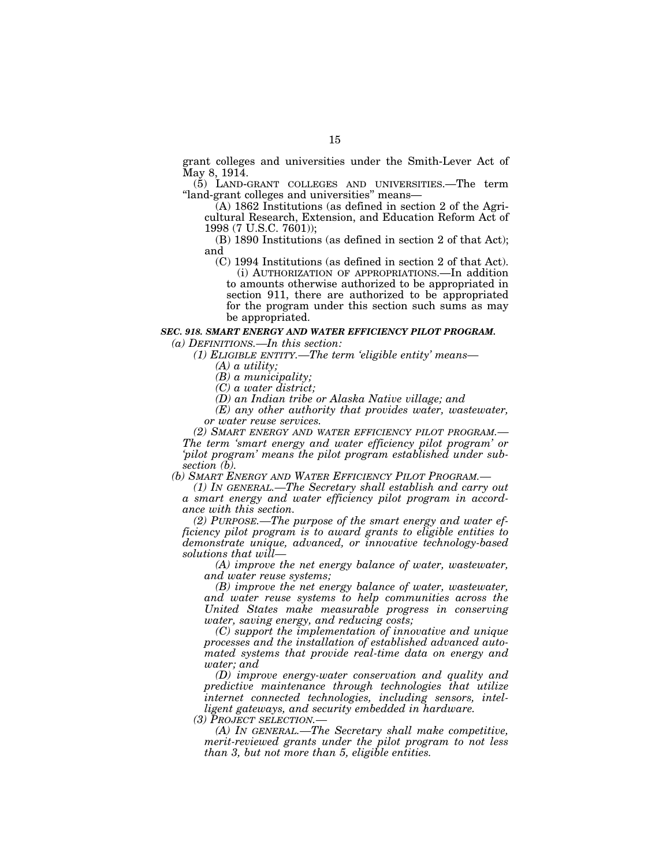grant colleges and universities under the Smith-Lever Act of May 8, 1914.

(5) LAND-GRANT COLLEGES AND UNIVERSITIES.—The term ''land-grant colleges and universities'' means—

(A) 1862 Institutions (as defined in section 2 of the Agricultural Research, Extension, and Education Reform Act of 1998 (7 U.S.C. 7601));

(B) 1890 Institutions (as defined in section 2 of that Act); and

(C) 1994 Institutions (as defined in section 2 of that Act).

(i) AUTHORIZATION OF APPROPRIATIONS.—In addition to amounts otherwise authorized to be appropriated in section 911, there are authorized to be appropriated for the program under this section such sums as may be appropriated.

## *SEC. 918. SMART ENERGY AND WATER EFFICIENCY PILOT PROGRAM.*

*(a) DEFINITIONS.—In this section:* 

*(1) ELIGIBLE ENTITY.—The term 'eligible entity' means—* 

*(A) a utility;* 

*(B) a municipality;* 

*(C) a water district;* 

*(D) an Indian tribe or Alaska Native village; and* 

*(E) any other authority that provides water, wastewater, or water reuse services.* 

*(2) SMART ENERGY AND WATER EFFICIENCY PILOT PROGRAM.— The term 'smart energy and water efficiency pilot program' or 'pilot program' means the pilot program established under subsection (b).* 

*(b) SMART ENERGY AND WATER EFFICIENCY PILOT PROGRAM.—* 

*(1) IN GENERAL.—The Secretary shall establish and carry out a smart energy and water efficiency pilot program in accordance with this section.* 

*(2) PURPOSE.—The purpose of the smart energy and water efficiency pilot program is to award grants to eligible entities to demonstrate unique, advanced, or innovative technology-based solutions that will—* 

*(A) improve the net energy balance of water, wastewater, and water reuse systems;* 

*(B) improve the net energy balance of water, wastewater, and water reuse systems to help communities across the United States make measurable progress in conserving water, saving energy, and reducing costs;* 

*(C) support the implementation of innovative and unique processes and the installation of established advanced automated systems that provide real-time data on energy and water; and* 

*(D) improve energy-water conservation and quality and predictive maintenance through technologies that utilize internet connected technologies, including sensors, intelligent gateways, and security embedded in hardware.* 

*(3) PROJECT SELECTION.—* 

*(A) IN GENERAL.—The Secretary shall make competitive, merit-reviewed grants under the pilot program to not less than 3, but not more than 5, eligible entities.*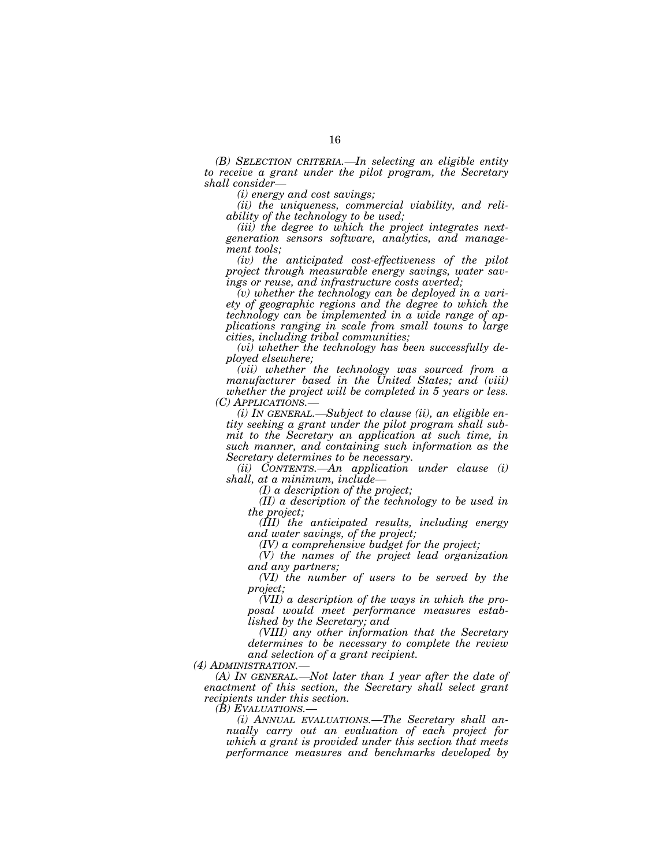*(B) SELECTION CRITERIA.—In selecting an eligible entity to receive a grant under the pilot program, the Secretary shall consider—* 

*(i) energy and cost savings;* 

*(ii) the uniqueness, commercial viability, and reliability of the technology to be used;* 

*(iii) the degree to which the project integrates nextgeneration sensors software, analytics, and management tools;* 

*(iv) the anticipated cost-effectiveness of the pilot project through measurable energy savings, water savings or reuse, and infrastructure costs averted;* 

*(v) whether the technology can be deployed in a variety of geographic regions and the degree to which the technology can be implemented in a wide range of applications ranging in scale from small towns to large cities, including tribal communities;* 

*(vi) whether the technology has been successfully deployed elsewhere;* 

*(vii) whether the technology was sourced from a manufacturer based in the United States; and (viii) whether the project will be completed in 5 years or less.* 

*(i) IN GENERAL.—Subject to clause (ii), an eligible entity seeking a grant under the pilot program shall submit to the Secretary an application at such time, in such manner, and containing such information as the Secretary determines to be necessary.* 

*(ii) CONTENTS.—An application under clause (i) shall, at a minimum, include—* 

*(I) a description of the project;* 

*(II) a description of the technology to be used in the project;* 

*(III) the anticipated results, including energy and water savings, of the project;* 

*(IV) a comprehensive budget for the project;* 

*(V) the names of the project lead organization and any partners;* 

*(VI) the number of users to be served by the project;* 

*(VII) a description of the ways in which the proposal would meet performance measures established by the Secretary; and* 

*(VIII) any other information that the Secretary determines to be necessary to complete the review and selection of a grant recipient.* 

*(4) ADMINISTRATION.—* 

*(A) IN GENERAL.—Not later than 1 year after the date of enactment of this section, the Secretary shall select grant recipients under this section.* 

*(i)* ANNUAL EVALUATIONS.—The Secretary shall an*nually carry out an evaluation of each project for which a grant is provided under this section that meets performance measures and benchmarks developed by*